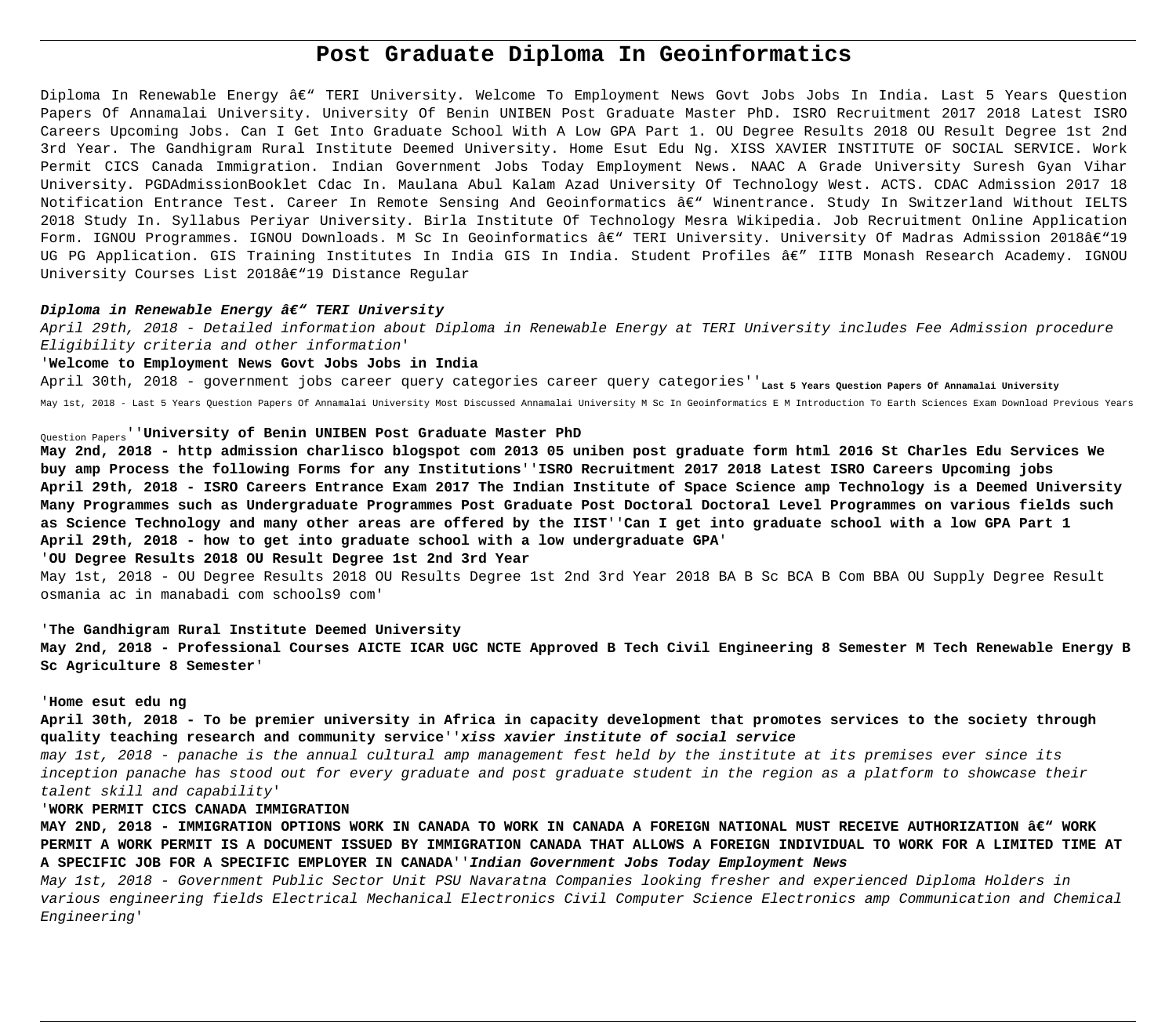# **Post Graduate Diploma In Geoinformatics**

Diploma In Renewable Energy â $\varepsilon$ " TERI University. Welcome To Employment News Govt Jobs Jobs In India. Last 5 Years Ouestion Papers Of Annamalai University. University Of Benin UNIBEN Post Graduate Master PhD. ISRO Recruitment 2017 2018 Latest ISRO Careers Upcoming Jobs. Can I Get Into Graduate School With A Low GPA Part 1. OU Degree Results 2018 OU Result Degree 1st 2nd 3rd Year. The Gandhigram Rural Institute Deemed University. Home Esut Edu Ng. XISS XAVIER INSTITUTE OF SOCIAL SERVICE. Work Permit CICS Canada Immigration. Indian Government Jobs Today Employment News. NAAC A Grade University Suresh Gyan Vihar University. PGDAdmissionBooklet Cdac In. Maulana Abul Kalam Azad University Of Technology West. ACTS. CDAC Admission 2017 18 Notification Entrance Test. Career In Remote Sensing And Geoinformatics â€" Winentrance. Study In Switzerland Without IELTS 2018 Study In. Syllabus Periyar University. Birla Institute Of Technology Mesra Wikipedia. Job Recruitment Online Application Form. IGNOU Programmes. IGNOU Downloads. M Sc In Geoinformatics â€" TERI University. University Of Madras Admission 2018â€"19 UG PG Application. GIS Training Institutes In India GIS In India. Student Profiles â€" IITB Monash Research Academy. IGNOU University Courses List 2018â $\epsilon$ "19 Distance Regular

## Diploma in Renewable Energy â€" TERI University

April 29th, 2018 - Detailed information about Diploma in Renewable Energy at TERI University includes Fee Admission procedure Eligibility criteria and other information'

#### '**Welcome to Employment News Govt Jobs Jobs in India**

April 30th, 2018 - government jobs career query categories career query categories''<sub>Last 5</sub> Years Question Papers of Annamalai University May 1st, 2018 - Last 5 Years Question Papers Of Annamalai University Most Discussed Annamalai University M Sc In Geoinformatics E M Introduction To Earth Sciences Exam Download Previous Years

# Question Papers''**University of Benin UNIBEN Post Graduate Master PhD**

**May 2nd, 2018 - http admission charlisco blogspot com 2013 05 uniben post graduate form html 2016 St Charles Edu Services We buy amp Process the following Forms for any Institutions**''**ISRO Recruitment 2017 2018 Latest ISRO Careers Upcoming jobs April 29th, 2018 - ISRO Careers Entrance Exam 2017 The Indian Institute of Space Science amp Technology is a Deemed University Many Programmes such as Undergraduate Programmes Post Graduate Post Doctoral Doctoral Level Programmes on various fields such as Science Technology and many other areas are offered by the IIST**''**Can I get into graduate school with a low GPA Part 1 April 29th, 2018 - how to get into graduate school with a low undergraduate GPA**'

# '**OU Degree Results 2018 OU Result Degree 1st 2nd 3rd Year**

May 1st, 2018 - OU Degree Results 2018 OU Results Degree 1st 2nd 3rd Year 2018 BA B Sc BCA B Com BBA OU Supply Degree Result osmania ac in manabadi com schools9 com'

## '**The Gandhigram Rural Institute Deemed University**

**May 2nd, 2018 - Professional Courses AICTE ICAR UGC NCTE Approved B Tech Civil Engineering 8 Semester M Tech Renewable Energy B Sc Agriculture 8 Semester**'

## '**Home esut edu ng**

**April 30th, 2018 - To be premier university in Africa in capacity development that promotes services to the society through quality teaching research and community service**''**xiss xavier institute of social service**

may 1st, 2018 - panache is the annual cultural amp management fest held by the institute at its premises ever since its inception panache has stood out for every graduate and post graduate student in the region as a platform to showcase their talent skill and capability'

# '**WORK PERMIT CICS CANADA IMMIGRATION**

MAY 2ND, 2018 - IMMIGRATION OPTIONS WORK IN CANADA TO WORK IN CANADA A FOREIGN NATIONAL MUST RECEIVE AUTHORIZATION â€" WORK **PERMIT A WORK PERMIT IS A DOCUMENT ISSUED BY IMMIGRATION CANADA THAT ALLOWS A FOREIGN INDIVIDUAL TO WORK FOR A LIMITED TIME AT A SPECIFIC JOB FOR A SPECIFIC EMPLOYER IN CANADA**''**Indian Government Jobs Today Employment News**

May 1st, 2018 - Government Public Sector Unit PSU Navaratna Companies looking fresher and experienced Diploma Holders in various engineering fields Electrical Mechanical Electronics Civil Computer Science Electronics amp Communication and Chemical Engineering'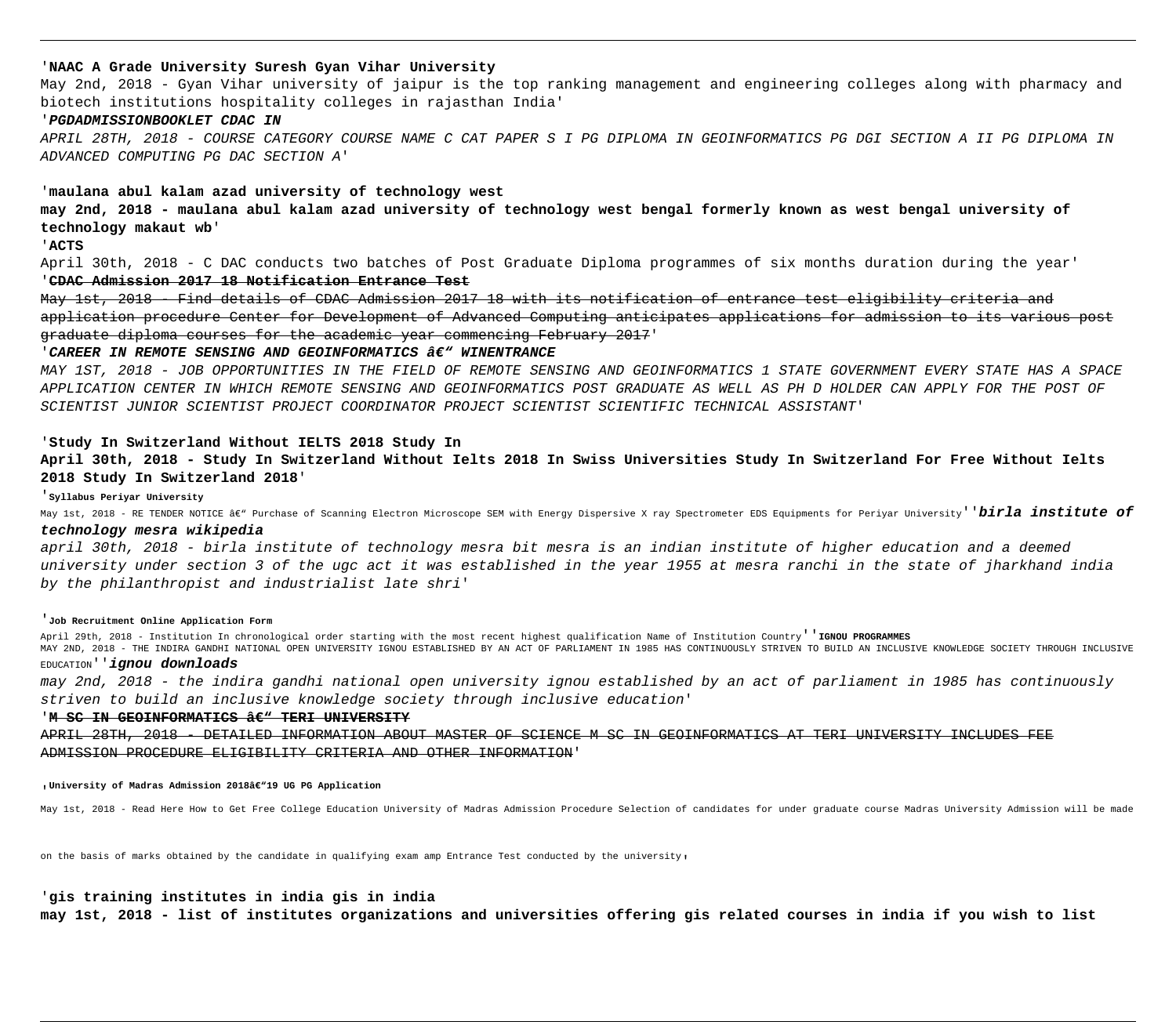# '**NAAC A Grade University Suresh Gyan Vihar University**

May 2nd, 2018 - Gyan Vihar university of jaipur is the top ranking management and engineering colleges along with pharmacy and biotech institutions hospitality colleges in rajasthan India'

# '**PGDADMISSIONBOOKLET CDAC IN**

APRIL 28TH, 2018 - COURSE CATEGORY COURSE NAME C CAT PAPER S I PG DIPLOMA IN GEOINFORMATICS PG DGI SECTION A II PG DIPLOMA IN ADVANCED COMPUTING PG DAC SECTION A'

# '**maulana abul kalam azad university of technology west**

**may 2nd, 2018 - maulana abul kalam azad university of technology west bengal formerly known as west bengal university of technology makaut wb**'

'**ACTS**

April 30th, 2018 - C DAC conducts two batches of Post Graduate Diploma programmes of six months duration during the year' '**CDAC Admission 2017 18 Notification Entrance Test**

May 1st, 2018 - Find details of CDAC Admission 2017 18 with its notification of entrance test eligibility criteria and application procedure Center for Development of Advanced Computing anticipates applications for admission to its various post graduate diploma courses for the academic year commencing February 2017'

#### 'CAREER IN REMOTE SENSING AND GEOINFORMATICS â€" WINENTRANCE

MAY 1ST, 2018 - JOB OPPORTUNITIES IN THE FIELD OF REMOTE SENSING AND GEOINFORMATICS 1 STATE GOVERNMENT EVERY STATE HAS A SPACE APPLICATION CENTER IN WHICH REMOTE SENSING AND GEOINFORMATICS POST GRADUATE AS WELL AS PH D HOLDER CAN APPLY FOR THE POST OF SCIENTIST JUNIOR SCIENTIST PROJECT COORDINATOR PROJECT SCIENTIST SCIENTIFIC TECHNICAL ASSISTANT'

# '**Study In Switzerland Without IELTS 2018 Study In**

**April 30th, 2018 - Study In Switzerland Without Ielts 2018 In Swiss Universities Study In Switzerland For Free Without Ielts 2018 Study In Switzerland 2018**'

## '**Syllabus Periyar University**

May 1st, 2018 - RE TENDER NOTICE âe" Purchase of Scanning Electron Microscope SEM with Energy Dispersive X ray Spectrometer EDS Equipments for Periyar University' 'birla institute of

# **technology mesra wikipedia**

april 30th, 2018 - birla institute of technology mesra bit mesra is an indian institute of higher education and a deemed university under section 3 of the ugc act it was established in the year 1955 at mesra ranchi in the state of jharkhand india by the philanthropist and industrialist late shri'

#### '**Job Recruitment Online Application Form**

April 29th, 2018 - Institution In chronological order starting with the most recent highest qualification Name of Institution Country''**IGNOU PROGRAMMES** MAY 2ND, 2018 - THE INDIRA GANDHI NATIONAL OPEN UNIVERSITY IGNOU ESTABLISHED BY AN ACT OF PARLIAMENT IN 1985 HAS CONTINUOUSLY STRIVEN TO BUILD AN INCLUSIVE KNOWLEDGE SOCIETY THROUGH INCLUSIVE

## EDUCATION''**ignou downloads**

may 2nd, 2018 - the indira gandhi national open university ignou established by an act of parliament in 1985 has continuously striven to build an inclusive knowledge society through inclusive education'

#### 'M SC IN GEOINFORMATICS <sup>26</sup> TERI UNIVERSITY

APRIL 28TH, 2018 - DETAILED INFORMATION ABOUT MASTER OF SCIENCE M SC IN GEOINFORMATICS AT TERI UNIVERSITY INCLUDES FEE ADMISSION PROCEDURE ELIGIBILITY CRITERIA AND OTHER INFORMATION'

**University of Madras Admission 2018â€"19 UG PG Application** 

May 1st, 2018 - Read Here How to Get Free College Education University of Madras Admission Procedure Selection of candidates for under graduate course Madras University Admission will be made

on the basis of marks obtained by the candidate in qualifying exam amp Entrance Test conducted by the university,

#### '**gis training institutes in india gis in india**

**may 1st, 2018 - list of institutes organizations and universities offering gis related courses in india if you wish to list**